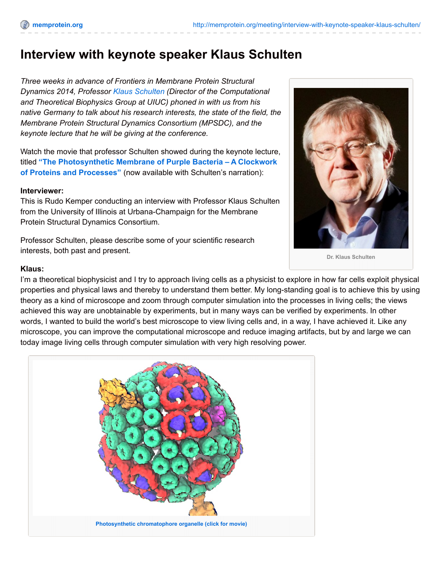# **Interview with keynote speaker Klaus Schulten**

*Three weeks in advance of Frontiers in Membrane Protein Structural Dynamics 2014, Professor Klaus [Schulten](http://memprotein.org/?page_id=337) (Director of the Computational and Theoretical Biophysics Group at UIUC) phoned in with us from his native Germany to talk about his research interests, the state of the field, the Membrane Protein Structural Dynamics Consortium (MPSDC), and the keynote lecture that he will be giving at the conference.*

Watch the movie that professor Schulten showed during the keynote lecture, titled **"The [Photosynthetic](https://vimeo.com/95877922) Membrane of Purple Bacteria – A Clockwork of Proteins and Processes"** (now available with Schulten's narration):

#### **Interviewer:**

This is Rudo Kemper conducting an interview with Professor Klaus Schulten from the University of Illinois at Urbana-Champaign for the Membrane Protein Structural Dynamics Consortium.

Professor Schulten, please describe some of your scientific research interests, both past and present.



**Dr. Klaus Schulten**

#### **Klaus:**

I'm a theoretical biophysicist and I try to approach living cells as a physicist to explore in how far cells exploit physical properties and physical laws and thereby to understand them better. My long-standing goal is to achieve this by using theory as a kind of microscope and zoom through computer simulation into the processes in living cells; the views achieved this way are unobtainable by experiments, but in many ways can be verified by experiments. In other words, I wanted to build the world's best microscope to view living cells and, in a way, I have achieved it. Like any microscope, you can improve the computational microscope and reduce imaging artifacts, but by and large we can today image living cells through computer simulation with very high resolving power.

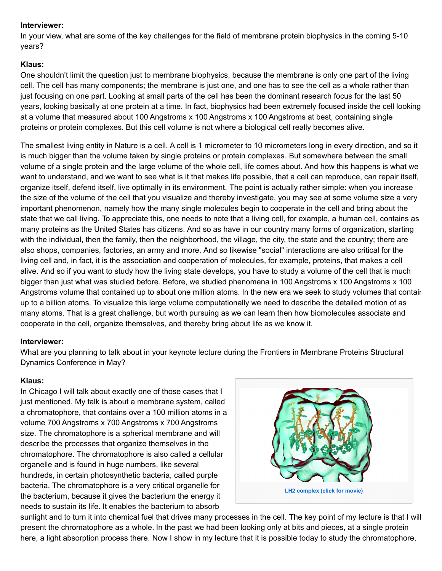## **Interviewer:**

In your view, what are some of the key challenges for the field of membrane protein biophysics in the coming 5-10 years?

## **Klaus:**

One shouldn't limit the question just to membrane biophysics, because the membrane is only one part of the living cell. The cell has many components; the membrane is just one, and one has to see the cell as a whole rather than just focusing on one part. Looking at small parts of the cell has been the dominant research focus for the last 50 years, looking basically at one protein at a time. In fact, biophysics had been extremely focused inside the cell looking at a volume that measured about 100 Angstroms x 100 Angstroms x 100 Angstroms at best, containing single proteins or protein complexes. But this cell volume is not where a biological cell really becomes alive.

The smallest living entity in Nature is a cell. A cell is 1 micrometer to 10 micrometers long in every direction, and so it is much bigger than the volume taken by single proteins or protein complexes. But somewhere between the small volume of a single protein and the large volume of the whole cell, life comes about. And how this happens is what we want to understand, and we want to see what is it that makes life possible, that a cell can reproduce, can repair itself, organize itself, defend itself, live optimally in its environment. The point is actually rather simple: when you increase the size of the volume of the cell that you visualize and thereby investigate, you may see at some volume size a very important phenomenon, namely how the many single molecules begin to cooperate in the cell and bring about the state that we call living. To appreciate this, one needs to note that a living cell, for example, a human cell, contains as many proteins as the United States has citizens. And so as have in our country many forms of organization, starting with the individual, then the family, then the neighborhood, the village, the city, the state and the country; there are also shops, companies, factories, an army and more. And so likewise "social" interactions are also critical for the living cell and, in fact, it is the association and cooperation of molecules, for example, proteins, that makes a cell alive. And so if you want to study how the living state develops, you have to study a volume of the cell that is much bigger than just what was studied before. Before, we studied phenomena in 100 Angstroms x 100 Angstroms x 100 Angstroms volume that contained up to about one million atoms. In the new era we seek to study volumes that contain up to a billion atoms. To visualize this large volume computationally we need to describe the detailed motion of as many atoms. That is a great challenge, but worth pursuing as we can learn then how biomolecules associate and cooperate in the cell, organize themselves, and thereby bring about life as we know it.

## **Interviewer:**

What are you planning to talk about in your keynote lecture during the Frontiers in Membrane Proteins Structural Dynamics Conference in May?

### **Klaus:**

In Chicago I will talk about exactly one of those cases that I just mentioned. My talk is about a membrane system, called a chromatophore, that contains over a 100 million atoms in a volume 700 Angstroms x 700 Angstroms x 700 Angstroms size. The chromatophore is a spherical membrane and will describe the processes that organize themselves in the chromatophore. The chromatophore is also called a cellular organelle and is found in huge numbers, like several hundreds, in certain photosynthetic bacteria, called purple bacteria. The chromatophore is a very critical organelle for the bacterium, because it gives the bacterium the energy it needs to sustain its life. It enables the bacterium to absorb



sunlight and to turn it into chemical fuel that drives many processes in the cell. The key point of my lecture is that I will present the chromatophore as a whole. In the past we had been looking only at bits and pieces, at a single protein here, a light absorption process there. Now I show in my lecture that it is possible today to study the chromatophore,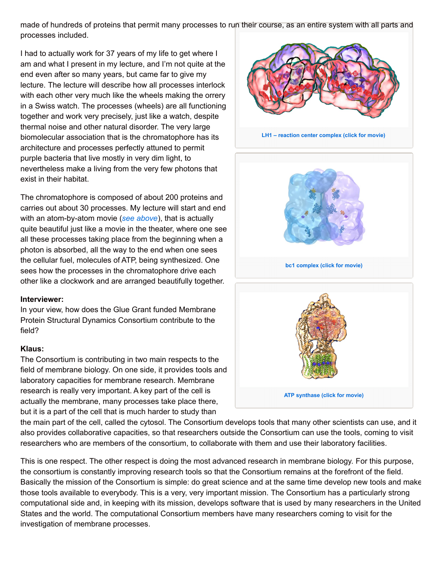made of hundreds of proteins that permit many processes to run their course, as an entire system with all parts and processes included.

I had to actually work for 37 years of my life to get where I am and what I present in my lecture, and I'm not quite at the end even after so many years, but came far to give my lecture. The lecture will describe how all processes interlock with each other very much like the wheels making the orrery in a Swiss watch. The processes (wheels) are all functioning together and work very precisely, just like a watch, despite thermal noise and other natural disorder. The very large biomolecular association that is the chromatophore has its architecture and processes perfectly attuned to permit purple bacteria that live mostly in very dim light, to nevertheless make a living from the very few photons that exist in their habitat.

The chromatophore is composed of about 200 proteins and carries out about 30 processes. My lecture will start and end with an atom-by-atom movie (*see [above](http://memprotein.org/meeting/interview-with-keynote-speaker-klaus-schulten/#movie)*), that is actually quite beautiful just like a movie in the theater, where one see all these processes taking place from the beginning when a photon is absorbed, all the way to the end when one sees the cellular fuel, molecules of ATP, being synthesized. One sees how the processes in the chromatophore drive each other like a clockwork and are arranged beautifully together.

### **Interviewer:**

In your view, how does the Glue Grant funded Membrane Protein Structural Dynamics Consortium contribute to the field?

### **Klaus:**

The Consortium is contributing in two main respects to the field of membrane biology. On one side, it provides tools and laboratory capacities for membrane research. Membrane research is really very important. A key part of the cell is actually the membrane, many processes take place there, but it is a part of the cell that is much harder to study than



**LH1 – reaction center [complex](https://vimeo.com/92698722) (click for movie)**



the main part of the cell, called the cytosol. The Consortium develops tools that many other scientists can use, and it also provides collaborative capacities, so that researchers outside the Consortium can use the tools, coming to visit researchers who are members of the consortium, to collaborate with them and use their laboratory facilities.

This is one respect. The other respect is doing the most advanced research in membrane biology. For this purpose, the consortium is constantly improving research tools so that the Consortium remains at the forefront of the field. Basically the mission of the Consortium is simple: do great science and at the same time develop new tools and make those tools available to everybody. This is a very, very important mission. The Consortium has a particularly strong computational side and, in keeping with its mission, develops software that is used by many researchers in the United States and the world. The computational Consortium members have many researchers coming to visit for the investigation of membrane processes.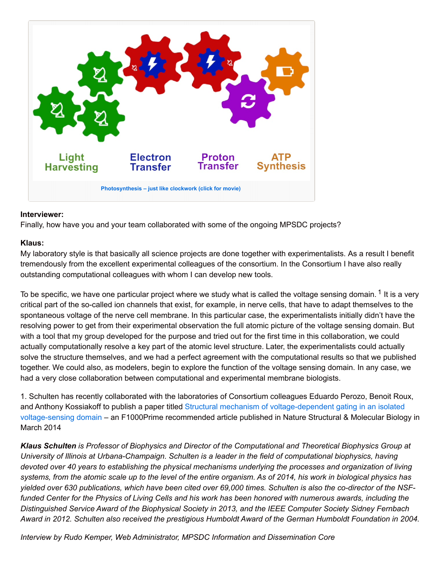

## **Interviewer:**

Finally, how have you and your team collaborated with some of the ongoing MPSDC projects?

## **Klaus:**

My laboratory style is that basically all science projects are done together with experimentalists. As a result I benefit tremendously from the excellent experimental colleagues of the consortium. In the Consortium I have also really outstanding computational colleagues with whom I can develop new tools.

To be specific, we have one particular project where we study what is called the voltage sensing domain.  $^1$  It is a very critical part of the so-called ion channels that exist, for example, in nerve cells, that have to adapt themselves to the spontaneous voltage of the nerve cell membrane. In this particular case, the experimentalists initially didn't have the resolving power to get from their experimental observation the full atomic picture of the voltage sensing domain. But with a tool that my group developed for the purpose and tried out for the first time in this collaboration, we could actually computationally resolve a key part of the atomic level structure. Later, the experimentalists could actually solve the structure themselves, and we had a perfect agreement with the computational results so that we published together. We could also, as modelers, begin to explore the function of the voltage sensing domain. In any case, we had a very close collaboration between computational and experimental membrane biologists.

1. Schulten has recently collaborated with the laboratories of Consortium colleagues Eduardo Perozo, Benoit Roux, and Anthony Kossiakoff to publish a paper titled Structural mechanism of [voltage-dependent](http://memprotein.org/?page_id=5081) gating in an isolated voltage-sensing domain – an F1000Prime recommended article published in Nature Structural & Molecular Biology in March 2014

*Klaus Schulten is Professor of Biophysics and Director of the Computational and Theoretical Biophysics Group at* University of Illinois at Urbana-Champaign. Schulten is a leader in the field of computational biophysics, having devoted over 40 years to establishing the physical mechanisms underlying the processes and organization of living systems, from the atomic scale up to the level of the entire organism. As of 2014, his work in biological physics has yielded over 630 publications, which have been cited over 69,000 times. Schulten is also the co-director of the NSFfunded Center for the Physics of Living Cells and his work has been honored with numerous awards, including the *Distinguished Service Award of the Biophysical Society in 2013, and the IEEE Computer Society Sidney Fernbach* Award in 2012. Schulten also received the prestigious Humboldt Award of the German Humboldt Foundation in 2004.

*Interview by Rudo Kemper, Web Administrator, MPSDC Information and Dissemination Core*